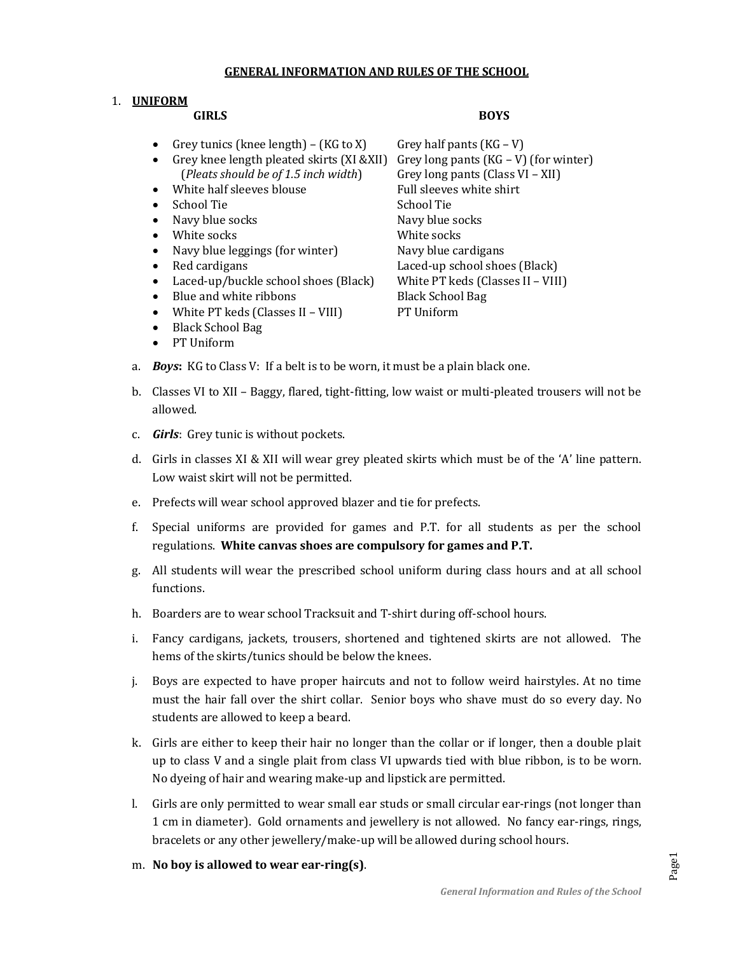#### **GENERAL INFORMATION AND RULES OF THE SCHOOL**

### 1. **UNIFORM**

#### **GIRLS BOYS**

- Grey tunics (knee length) (KG to X) Grey half pants (KG V)
- Grey knee length pleated skirts  $(XI \& XII)$  Grey long pants  $(KG V)$  (for winter) (*Pleats should be of 1.5 inch width*) Grey long pants (Class VI – XII)
- White half sleeves blouse Full sleeves white shirt
- 
- Navy blue socks Navy blue socks
- 
- Navy blue leggings (for winter) Navy blue cardigans
- 
- Laced-up/buckle school shoes (Black) White PT keds (Classes II VIII)
- Blue and white ribbons Black School Bag
- White PT keds (Classes II VIII) PT Uniform
- Black School Bag
- PT Uniform

- School Tie School Tie School Tie School Tie School Tie School Tie School Tie School Tie School Tie School Tie White socks **White Socks** • Red cardigans Laced-up school shoes (Black)
- a. *Boys***:** KG to Class V: If a belt is to be worn, it must be a plain black one.
- b. Classes VI to XII Baggy, flared, tight-fitting, low waist or multi-pleated trousers will not be allowed.
- c. *Girls*: Grey tunic is without pockets.
- d. Girls in classes XI & XII will wear grey pleated skirts which must be of the 'A' line pattern. Low waist skirt will not be permitted.
- e. Prefects will wear school approved blazer and tie for prefects.
- f. Special uniforms are provided for games and P.T. for all students as per the school regulations. **White canvas shoes are compulsory for games and P.T.**
- g. All students will wear the prescribed school uniform during class hours and at all school functions.
- h. Boarders are to wear school Tracksuit and T-shirt during off-school hours.
- i. Fancy cardigans, jackets, trousers, shortened and tightened skirts are not allowed. The hems of the skirts/tunics should be below the knees.
- j. Boys are expected to have proper haircuts and not to follow weird hairstyles. At no time must the hair fall over the shirt collar. Senior boys who shave must do so every day. No students are allowed to keep a beard.
- k. Girls are either to keep their hair no longer than the collar or if longer, then a double plait up to class V and a single plait from class VI upwards tied with blue ribbon, is to be worn. No dyeing of hair and wearing make-up and lipstick are permitted.
- l. Girls are only permitted to wear small ear studs or small circular ear-rings (not longer than 1 cm in diameter). Gold ornaments and jewellery is not allowed. No fancy ear-rings, rings, bracelets or any other jewellery/make-up will be allowed during school hours.
- m. **No boy is allowed to wear ear-ring(s)**.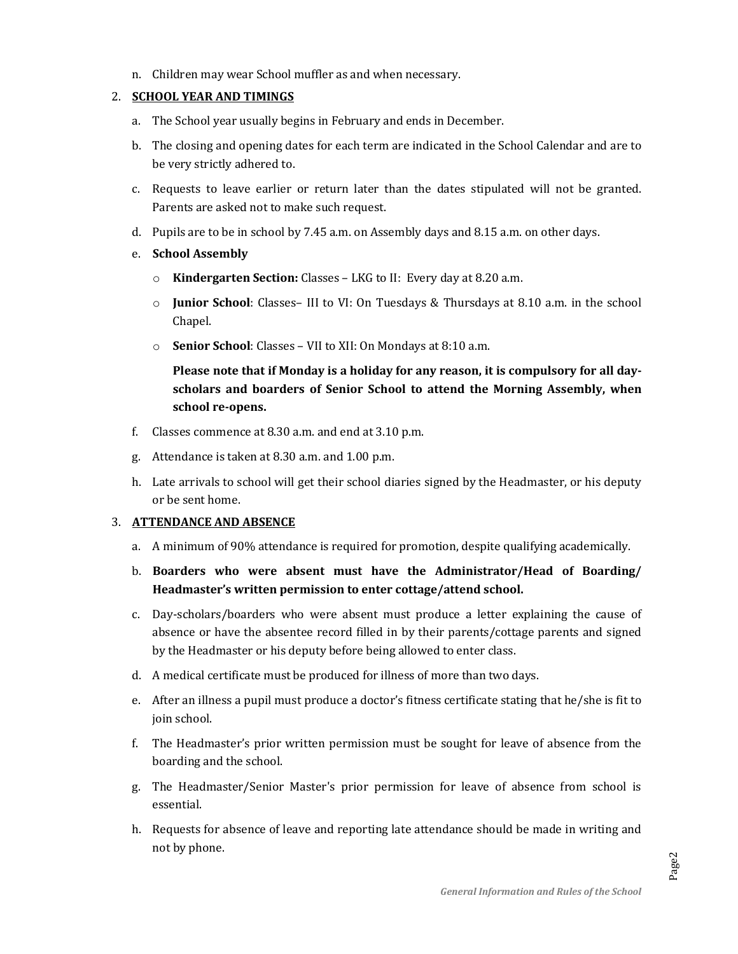n. Children may wear School muffler as and when necessary.

#### 2. **SCHOOL YEAR AND TIMINGS**

- a. The School year usually begins in February and ends in December.
- b. The closing and opening dates for each term are indicated in the School Calendar and are to be very strictly adhered to.
- c. Requests to leave earlier or return later than the dates stipulated will not be granted. Parents are asked not to make such request.
- d. Pupils are to be in school by 7.45 a.m. on Assembly days and 8.15 a.m. on other days.
- e. **School Assembly**
	- o **Kindergarten Section:** Classes LKG to II: Every day at 8.20 a.m.
	- o **Junior School**: Classes– III to VI: On Tuesdays & Thursdays at 8.10 a.m. in the school Chapel.
	- o **Senior School**: Classes VII to XII: On Mondays at 8:10 a.m.

# **Please note that if Monday is a holiday for any reason, it is compulsory for all dayscholars and boarders of Senior School to attend the Morning Assembly, when school re-opens.**

- f. Classes commence at 8.30 a.m. and end at 3.10 p.m.
- g. Attendance is taken at 8.30 a.m. and 1.00 p.m.
- h. Late arrivals to school will get their school diaries signed by the Headmaster, or his deputy or be sent home.

#### 3. **ATTENDANCE AND ABSENCE**

- a. A minimum of 90% attendance is required for promotion, despite qualifying academically.
- b. **Boarders who were absent must have the Administrator/Head of Boarding/ Headmaster's written permission to enter cottage/attend school.**
- c. Day-scholars/boarders who were absent must produce a letter explaining the cause of absence or have the absentee record filled in by their parents/cottage parents and signed by the Headmaster or his deputy before being allowed to enter class.
- d. A medical certificate must be produced for illness of more than two days.
- e. After an illness a pupil must produce a doctor's fitness certificate stating that he/she is fit to join school.
- f. The Headmaster's prior written permission must be sought for leave of absence from the boarding and the school.
- g. The Headmaster/Senior Master's prior permission for leave of absence from school is essential.
- h. Requests for absence of leave and reporting late attendance should be made in writing and not by phone.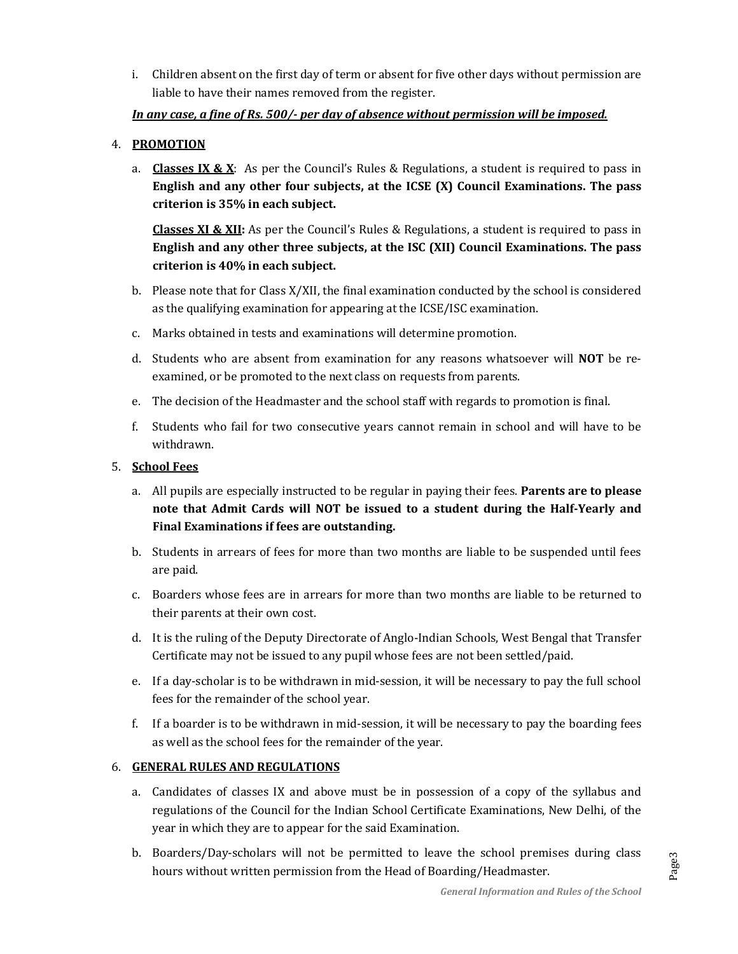i. Children absent on the first day of term or absent for five other days without permission are liable to have their names removed from the register.

## *In any case, a fine of Rs. 500/- per day of absence without permission will be imposed.*

## 4. **PROMOTION**

a. **Classes IX & X**: As per the Council's Rules & Regulations, a student is required to pass in **English and any other four subjects, at the ICSE (X) Council Examinations. The pass criterion is 35% in each subject.**

**Classes XI & XII:** As per the Council's Rules & Regulations, a student is required to pass in **English and any other three subjects, at the ISC (XII) Council Examinations. The pass criterion is 40% in each subject.**

- b. Please note that for Class X/XII, the final examination conducted by the school is considered as the qualifying examination for appearing at the ICSE/ISC examination.
- c. Marks obtained in tests and examinations will determine promotion.
- d. Students who are absent from examination for any reasons whatsoever will **NOT** be reexamined, or be promoted to the next class on requests from parents.
- e. The decision of the Headmaster and the school staff with regards to promotion is final.
- f. Students who fail for two consecutive years cannot remain in school and will have to be withdrawn.

## 5. **School Fees**

- a. All pupils are especially instructed to be regular in paying their fees. **Parents are to please note that Admit Cards will NOT be issued to a student during the Half-Yearly and Final Examinations if fees are outstanding.**
- b. Students in arrears of fees for more than two months are liable to be suspended until fees are paid.
- c. Boarders whose fees are in arrears for more than two months are liable to be returned to their parents at their own cost.
- d. It is the ruling of the Deputy Directorate of Anglo-Indian Schools, West Bengal that Transfer Certificate may not be issued to any pupil whose fees are not been settled/paid.
- e. If a day-scholar is to be withdrawn in mid-session, it will be necessary to pay the full school fees for the remainder of the school year.
- f. If a boarder is to be withdrawn in mid-session, it will be necessary to pay the boarding fees as well as the school fees for the remainder of the year.

## 6. **GENERAL RULES AND REGULATIONS**

- a. Candidates of classes IX and above must be in possession of a copy of the syllabus and regulations of the Council for the Indian School Certificate Examinations, New Delhi, of the year in which they are to appear for the said Examination.
- b. Boarders/Day-scholars will not be permitted to leave the school premises during class hours without written permission from the Head of Boarding/Headmaster.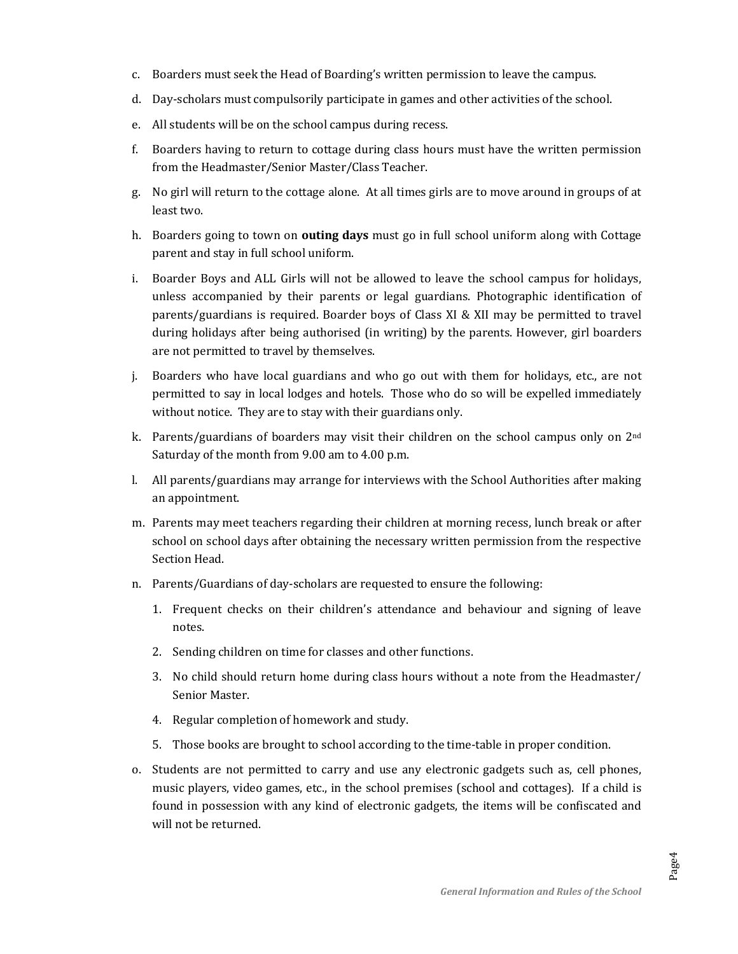- c. Boarders must seek the Head of Boarding's written permission to leave the campus.
- d. Day-scholars must compulsorily participate in games and other activities of the school.
- e. All students will be on the school campus during recess.
- f. Boarders having to return to cottage during class hours must have the written permission from the Headmaster/Senior Master/Class Teacher.
- g. No girl will return to the cottage alone. At all times girls are to move around in groups of at least two.
- h. Boarders going to town on **outing days** must go in full school uniform along with Cottage parent and stay in full school uniform.
- i. Boarder Boys and ALL Girls will not be allowed to leave the school campus for holidays, unless accompanied by their parents or legal guardians. Photographic identification of parents/guardians is required. Boarder boys of Class XI & XII may be permitted to travel during holidays after being authorised (in writing) by the parents. However, girl boarders are not permitted to travel by themselves.
- j. Boarders who have local guardians and who go out with them for holidays, etc., are not permitted to say in local lodges and hotels. Those who do so will be expelled immediately without notice. They are to stay with their guardians only.
- k. Parents/guardians of boarders may visit their children on the school campus only on 2<sup>nd</sup> Saturday of the month from 9.00 am to 4.00 p.m.
- l. All parents/guardians may arrange for interviews with the School Authorities after making an appointment.
- m. Parents may meet teachers regarding their children at morning recess, lunch break or after school on school days after obtaining the necessary written permission from the respective Section Head.
- n. Parents/Guardians of day-scholars are requested to ensure the following:
	- 1. Frequent checks on their children's attendance and behaviour and signing of leave notes.
	- 2. Sending children on time for classes and other functions.
	- 3. No child should return home during class hours without a note from the Headmaster/ Senior Master.
	- 4. Regular completion of homework and study.
	- 5. Those books are brought to school according to the time-table in proper condition.
- o. Students are not permitted to carry and use any electronic gadgets such as, cell phones, music players, video games, etc., in the school premises (school and cottages). If a child is found in possession with any kind of electronic gadgets, the items will be confiscated and will not be returned.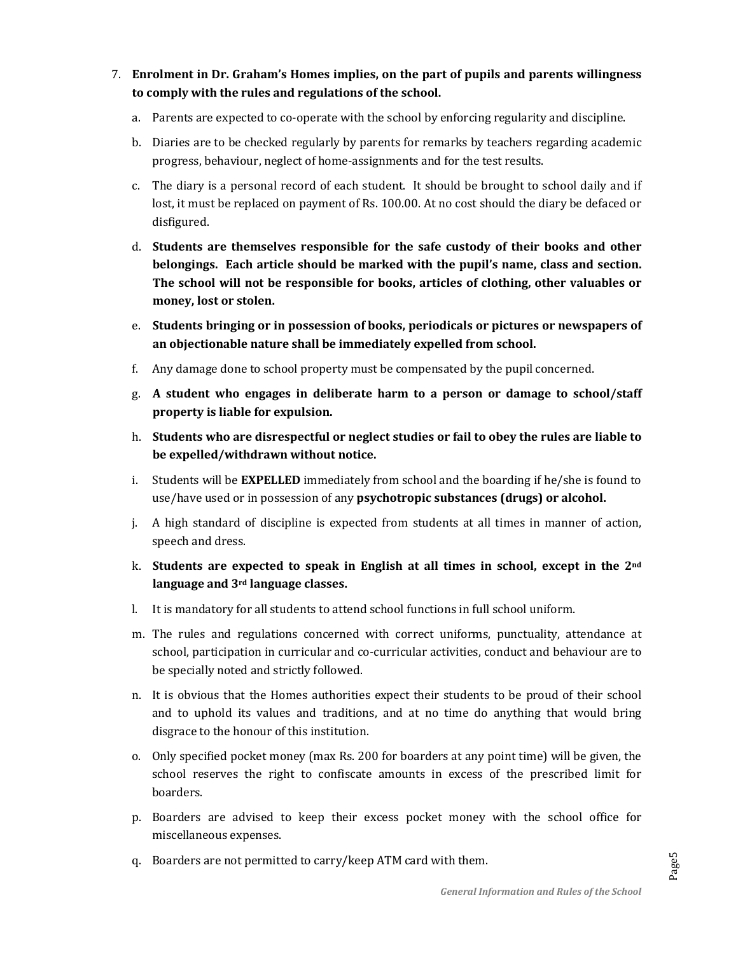- 7. **Enrolment in Dr. Graham's Homes implies, on the part of pupils and parents willingness to comply with the rules and regulations of the school.**
	- a. Parents are expected to co-operate with the school by enforcing regularity and discipline.
	- b. Diaries are to be checked regularly by parents for remarks by teachers regarding academic progress, behaviour, neglect of home-assignments and for the test results.
	- c. The diary is a personal record of each student. It should be brought to school daily and if lost, it must be replaced on payment of Rs. 100.00. At no cost should the diary be defaced or disfigured.
	- d. **Students are themselves responsible for the safe custody of their books and other belongings. Each article should be marked with the pupil's name, class and section. The school will not be responsible for books, articles of clothing, other valuables or money, lost or stolen.**
	- e. **Students bringing or in possession of books, periodicals or pictures or newspapers of an objectionable nature shall be immediately expelled from school.**
	- f. Any damage done to school property must be compensated by the pupil concerned.
	- g. **A student who engages in deliberate harm to a person or damage to school/staff property is liable for expulsion.**
	- h. **Students who are disrespectful or neglect studies or fail to obey the rules are liable to be expelled/withdrawn without notice.**
	- i. Students will be **EXPELLED** immediately from school and the boarding if he/she is found to use/have used or in possession of any **psychotropic substances (drugs) or alcohol.**
	- j. A high standard of discipline is expected from students at all times in manner of action, speech and dress.
	- k. **Students are expected to speak in English at all times in school, except in the 2nd language and 3rd language classes.**
	- l. It is mandatory for all students to attend school functions in full school uniform.
	- m. The rules and regulations concerned with correct uniforms, punctuality, attendance at school, participation in curricular and co-curricular activities, conduct and behaviour are to be specially noted and strictly followed.
	- n. It is obvious that the Homes authorities expect their students to be proud of their school and to uphold its values and traditions, and at no time do anything that would bring disgrace to the honour of this institution.
	- o. Only specified pocket money (max Rs. 200 for boarders at any point time) will be given, the school reserves the right to confiscate amounts in excess of the prescribed limit for boarders.
	- p. Boarders are advised to keep their excess pocket money with the school office for miscellaneous expenses.
	- q. Boarders are not permitted to carry/keep ATM card with them.